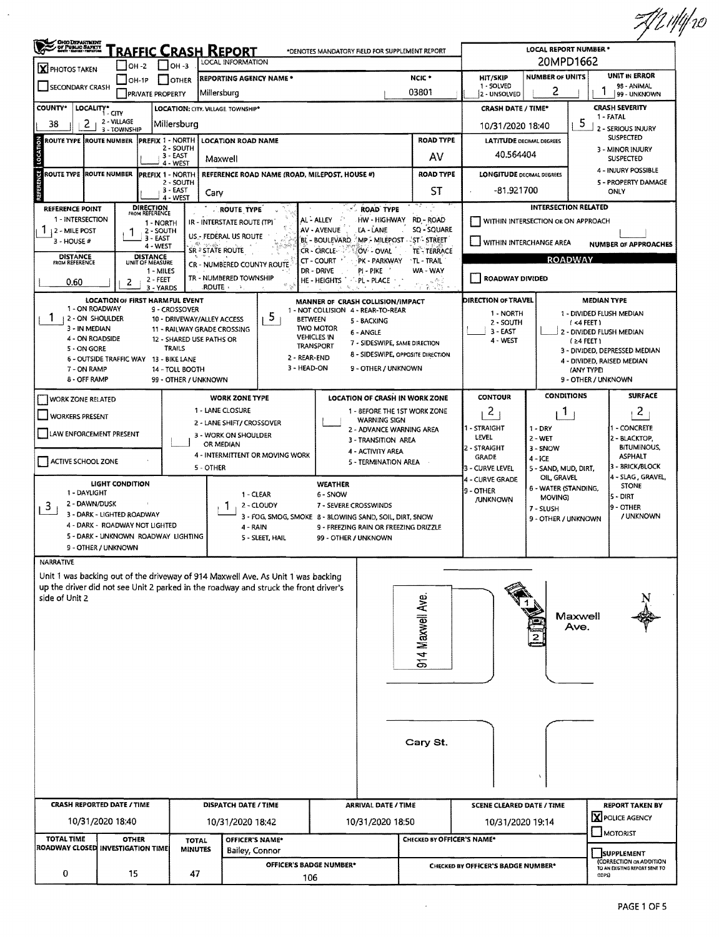|                                                                                                                                                                                                                |                                                                                                                                                                                                                                                                                                            |                                                                                                                                              |                                                                    |                                                                                                                                                                  |                                                                                                                                                     |                                                                                                       |                                                                                                                                                                                                 |                                                                                |                                                                                                                                                                                                                                                                                     |                                                                                       | FYZ 1141e0                                                                                             |  |  |  |
|----------------------------------------------------------------------------------------------------------------------------------------------------------------------------------------------------------------|------------------------------------------------------------------------------------------------------------------------------------------------------------------------------------------------------------------------------------------------------------------------------------------------------------|----------------------------------------------------------------------------------------------------------------------------------------------|--------------------------------------------------------------------|------------------------------------------------------------------------------------------------------------------------------------------------------------------|-----------------------------------------------------------------------------------------------------------------------------------------------------|-------------------------------------------------------------------------------------------------------|-------------------------------------------------------------------------------------------------------------------------------------------------------------------------------------------------|--------------------------------------------------------------------------------|-------------------------------------------------------------------------------------------------------------------------------------------------------------------------------------------------------------------------------------------------------------------------------------|---------------------------------------------------------------------------------------|--------------------------------------------------------------------------------------------------------|--|--|--|
| <b>CHO DEPARTMENT<br/>CH PUBLIC SAFETY</b><br><b>Chef : Bang</b> : Margous<br><u>'raffic Crash Report</u><br>*DENOTES MANDATORY FIELD FOR SUPPLEMENT REPORT<br>LOCAL INFORMATION                               |                                                                                                                                                                                                                                                                                                            |                                                                                                                                              |                                                                    |                                                                                                                                                                  |                                                                                                                                                     |                                                                                                       |                                                                                                                                                                                                 |                                                                                | <b>LOCAL REPORT NUMBER *</b><br>20MPD1662                                                                                                                                                                                                                                           |                                                                                       |                                                                                                        |  |  |  |
| <b>X</b> PHOTOS TAKEN<br>SECONDARY CRASH                                                                                                                                                                       | $-$ OH -2<br>$OH-1P$                                                                                                                                                                                                                                                                                       |                                                                                                                                              | _] OH -3<br><b>F</b> JOTHER                                        | <b>REPORTING AGENCY NAME *</b>                                                                                                                                   |                                                                                                                                                     | NCIC <sup>*</sup><br>HIT/SKIP<br>1 - SOLVED<br>03801                                                  |                                                                                                                                                                                                 |                                                                                |                                                                                                                                                                                                                                                                                     | UNIT IN ERROR<br><b>NUMBER OF UNITS</b><br>98 - ANIMAL<br>2                           |                                                                                                        |  |  |  |
| <b>COUNTY*</b>                                                                                                                                                                                                 | LOCALITY* CITY                                                                                                                                                                                                                                                                                             | <b>PRIVATE PROPERTY</b>                                                                                                                      |                                                                    | Millersburg<br>LOCATION: CITY, VILLAGE TOWNSHIP*                                                                                                                 |                                                                                                                                                     |                                                                                                       |                                                                                                                                                                                                 |                                                                                | 2 - UNSOLVED<br><b>CRASH DATE / TIME*</b>                                                                                                                                                                                                                                           |                                                                                       | 99 - UNKNOWN<br><b>CRASH SEVERITY</b>                                                                  |  |  |  |
| 38<br>2                                                                                                                                                                                                        | 2 - VILLAGE<br>3 - TOWNSHIP                                                                                                                                                                                                                                                                                |                                                                                                                                              | Millersburg                                                        |                                                                                                                                                                  |                                                                                                                                                     |                                                                                                       |                                                                                                                                                                                                 |                                                                                | 10/31/2020 18:40                                                                                                                                                                                                                                                                    | 1 - FATAL<br>5<br>2 - SERIOUS INJURY                                                  |                                                                                                        |  |  |  |
| ROUTE TYPE ROUTE NUMBER                                                                                                                                                                                        |                                                                                                                                                                                                                                                                                                            | <b>PREFIX 1 - NORTH</b>                                                                                                                      | 2 - SOUTH                                                          | <b>LOCATION ROAD NAME</b>                                                                                                                                        |                                                                                                                                                     |                                                                                                       |                                                                                                                                                                                                 | <b>ROAD TYPE</b>                                                               | <b>LATITUDE DECIMAL DEGREES</b>                                                                                                                                                                                                                                                     | <b>SUSPECTED</b><br>3 - MINOR INJURY                                                  |                                                                                                        |  |  |  |
| LOCATION                                                                                                                                                                                                       | 3 - EAST<br>Maxwell<br>4 - WEST                                                                                                                                                                                                                                                                            |                                                                                                                                              |                                                                    |                                                                                                                                                                  |                                                                                                                                                     |                                                                                                       |                                                                                                                                                                                                 | AV                                                                             | 40.564404                                                                                                                                                                                                                                                                           |                                                                                       | <b>SUSPECTED</b>                                                                                       |  |  |  |
| REFERENCE                                                                                                                                                                                                      | ROUTE TYPE  ROUTE NUMBER<br><b>PREFIX 1 - NORTH</b><br>REFERENCE ROAD NAME (ROAD, MILEPOST, HOUSE #)<br>2 - SOUTH<br>3 - EAST<br>Cary<br>4 - WEST                                                                                                                                                          |                                                                                                                                              |                                                                    |                                                                                                                                                                  |                                                                                                                                                     |                                                                                                       |                                                                                                                                                                                                 | <b>ROAD TYPE</b><br>ST                                                         | <b>LONGITUDE DECIMAL DEGREES</b><br>-81.921700                                                                                                                                                                                                                                      | 4 - INJURY POSSIBLE<br>5 - PROPERTY DAMAGE<br><b>ONLY</b>                             |                                                                                                        |  |  |  |
| <b>REFERENCE POINT</b><br>1 - INTERSECTION<br>$1.12 - MILE POST$<br>3 - HOUSE #<br><b>DISTANCE</b><br>FROM REFERENCE<br>0.60                                                                                   | 2                                                                                                                                                                                                                                                                                                          | DIRECTION<br>FROM REFERENCE<br>1 - NORTH<br>2 - SOUTH<br>3 - EAST<br>4 - WEST<br><b>DISTANCE</b><br>UNIT OF MEASURE<br>1 - MILES<br>2 - FEET |                                                                    | <b>ROUTE TYPE</b><br>IR - INTERSTATE ROUTE (TP)<br>US .- FEDERAL US ROUTE<br>SR <sup>*</sup> STATE ROUTE<br>CR - NUMBERED COUNTY ROUTE<br>TR - NUMBERED TOWNSHIP |                                                                                                                                                     | AL-ALLEY<br>AV - AVENUE<br>BL - BOULEVARD<br>CR - CIRCLE-<br>CT - COURT<br>DR - DRIVE<br>HE - HEIGHTS | <b>ROAD TYPE</b><br>HW - HIGHWAY<br>LA - LANE<br>AP - MILEPOST - 'ST - STREET!'<br>OV - OVAL<br>PK - PARKWAY<br>pi - Pike<br><b>PL - PLACE</b>                                                  | RD - ROAD<br>SQ - SQUARE<br>TE - TERRACE<br><b>TL-TRAIL</b><br>WA - WAY<br>复布于 | WITHIN INTERCHANGE AREA<br><b>I ROADWAY DIVIDED</b>                                                                                                                                                                                                                                 | <b>INTERSECTION RELATED</b><br>WITHIN INTERSECTION OR ON APPROACH<br><b>ROADWAY</b>   | <b>NUMBER OF APPROACHES</b>                                                                            |  |  |  |
| 1 - ON ROADWAY<br>1<br>  2 - ON SHOULDER<br>3 - IN MEDIAN<br>4 - ON ROADSIDE<br>5 - ON GORE<br>7 - ON RAMP<br>8 - OFF RAMP                                                                                     | <b>LOCATION OF FIRST HARMFUL EVENT</b><br>6 - OUTSIDE TRAFFIC WAY 13 - BIKE LANE                                                                                                                                                                                                                           | 3 - YARDS                                                                                                                                    | 9 - CROSSOVER<br>TRAILS<br>14 - TOLL BOOTH<br>99 - OTHER / UNKNOWN | <b>ROUTE</b><br>10 - DRIVEWAY/ALLEY ACCESS<br>11 - RAILWAY GRADE CROSSING<br>12 - SHARED USE PATHS OR                                                            | 5<br>2 - REAR-END<br>3 - HEAD-ON                                                                                                                    | <b>BETWEEN</b><br><b>TWO MOTOR</b><br><b>VEHICLES IN</b><br>TRANSPORT                                 | MANNER OF CRASH COLLISION/IMPACT<br>1 - NOT COLLISION 4 - REAR-TO-REAR<br>5 - BACKING<br>6 - ANGLE<br>7 - SIDESWIPE, SAME DIRECTION<br>8 - SIDESWIPE, OPPOSITE DIRECTION<br>9 - OTHER / UNKNOWN | 오시민                                                                            | DIRECTION OF TRAVEL<br><b>MEDIAN TYPE</b><br>1 - DIVIDED FLUSH MEDIAN<br>1 - NORTH<br>2 - SOUTH<br>(4FEE)<br>3 - EAST<br>2 - DIVIDED FLUSH MEDIAN<br>4 - WEST<br>$(24$ FEET $)$<br>3 - DIVIDED, DEPRESSED MEDIAN<br>4 - DIVIDED, RAISED MEDIAN<br>(ANY TYPE)<br>9 - OTHER / UNKNOWN |                                                                                       |                                                                                                        |  |  |  |
| WORK ZONE RELATED                                                                                                                                                                                              |                                                                                                                                                                                                                                                                                                            |                                                                                                                                              |                                                                    | <b>WORK ZONE TYPE</b>                                                                                                                                            |                                                                                                                                                     |                                                                                                       | LOCATION OF CRASH IN WORK ZONE                                                                                                                                                                  |                                                                                | <b>CONTOUR</b>                                                                                                                                                                                                                                                                      | <b>CONDITIONS</b>                                                                     | <b>SURFACE</b>                                                                                         |  |  |  |
| 1 - LANE CLOSURE<br>WORKERS PRESENT<br>2 - LANE SHIFT/ CROSSOVER<br>LAW ENFORCEMENT PRESENT<br>3 - WORK ON SHOULDER<br>OR MEDIAN<br>4 - INTERMITTENT OR MOVING WORK<br>ACTIVE SCHOOL ZONE<br>5 - OTHER         |                                                                                                                                                                                                                                                                                                            |                                                                                                                                              |                                                                    |                                                                                                                                                                  | 1 - BEFORE THE 1ST WORK ZONE<br><b>WARNING SIGN</b><br>2 - ADVANCE WARNING AREA<br>3 - TRANSITION AREA<br>4 - ACTIVITY AREA<br>5 - TERMINATION AREA |                                                                                                       |                                                                                                                                                                                                 |                                                                                | $\mathbf{2}$<br>I - STRAIGHT<br>LEVEL<br>2 - STRAIGHT<br>GRADE<br>3 - CURVE LEVEL                                                                                                                                                                                                   | $\mathbf{1}$<br>$1 - DRY$<br>2 - WET<br>3 - SNOW<br>$4 - iCE$<br>5 - SAND, MUD, DIRT, | $\mathbf{2}$<br>- CONCRETE<br>2 - BLACKTOP,<br><b>BITUMINOUS,</b><br><b>ASPHALT</b><br>3 - BRICK/BLOCK |  |  |  |
| 3                                                                                                                                                                                                              | <b>LIGHT CONDITION</b><br>1 - DAYLIGHT<br>1 - CLEAR<br>2 - DAWN/DUSK<br>2 - CLOUDY<br>3 - DARK - LIGHTED ROADWAY<br>3 - FOG, SMOG, SMOKE 8 - BLOWING SAND, SOIL, DIRT, SNOW<br>4 - DARK - ROADWAY NOT LIGHTED<br>4 - RAIN<br>5 - DARK - UNKNOWN ROADWAY LIGHTING<br>5 - SLEET, HAIL<br>9 - OTHER / UNKNOWN |                                                                                                                                              |                                                                    |                                                                                                                                                                  |                                                                                                                                                     | <b>WEATHER</b><br>6 - SNOW<br>7 - SEVERE CRO5SWINDS<br>99 - OTHER / UNKNOWN                           | 9 - FREEZING RAIN OR FREEZING DRIZZLE                                                                                                                                                           |                                                                                | 4 - CURVE GRADE<br>9 - OTHER<br><b>/UNKNOWN</b>                                                                                                                                                                                                                                     | OIL, GRAVEL<br>6 - WATER (STANDING,<br>MOVING)<br>7 - SLUSH<br>9 - OTHER / UNKNOWN    | 4 - SLAG, GRAVEL,<br><b>STONE</b><br>5 - DIRT<br>9 - OTHER<br>/ UNKNOWN                                |  |  |  |
| <b>NARRATIVE</b><br>Unit 1 was backing out of the driveway of 914 Maxwell Ave. As Unit 1 was backing<br>up the driver did not see Unit 2 parked in the roadway and struck the front driver's<br>side of Unit 2 |                                                                                                                                                                                                                                                                                                            |                                                                                                                                              |                                                                    |                                                                                                                                                                  |                                                                                                                                                     |                                                                                                       |                                                                                                                                                                                                 | 914 Maxwell Ave.                                                               |                                                                                                                                                                                                                                                                                     |                                                                                       | Maxwell<br>Ave.                                                                                        |  |  |  |
|                                                                                                                                                                                                                |                                                                                                                                                                                                                                                                                                            |                                                                                                                                              |                                                                    |                                                                                                                                                                  |                                                                                                                                                     |                                                                                                       |                                                                                                                                                                                                 | Cary St.                                                                       |                                                                                                                                                                                                                                                                                     |                                                                                       |                                                                                                        |  |  |  |
| <b>CRASH REPORTED DATE / TIME</b>                                                                                                                                                                              |                                                                                                                                                                                                                                                                                                            |                                                                                                                                              |                                                                    | DISPATCH DATE / TIME                                                                                                                                             |                                                                                                                                                     |                                                                                                       | <b>ARRIVAL DATE / TIME</b>                                                                                                                                                                      |                                                                                | <b>SCENE CLEARED DATE / TIME</b>                                                                                                                                                                                                                                                    |                                                                                       | <b>REPORT TAKEN BY</b>                                                                                 |  |  |  |
|                                                                                                                                                                                                                | 10/31/2020 18:40                                                                                                                                                                                                                                                                                           |                                                                                                                                              |                                                                    | 10/31/2020 18:42                                                                                                                                                 |                                                                                                                                                     |                                                                                                       | 10/31/2020 18:50                                                                                                                                                                                |                                                                                | 10/31/2020 19:14                                                                                                                                                                                                                                                                    |                                                                                       | X POLICE AGENCY<br>MOTORIST                                                                            |  |  |  |
| <b>TOTAL TIME</b><br>ROADWAY CLOSED INVESTIGATION TIME                                                                                                                                                         | <b>OTHER</b>                                                                                                                                                                                                                                                                                               |                                                                                                                                              | <b>TOTAL</b><br><b>MINUTES</b>                                     | Bailey, Connor                                                                                                                                                   | OFFICER'S NAME*                                                                                                                                     |                                                                                                       |                                                                                                                                                                                                 | CHECKED BY OFFICER'S NAME*                                                     |                                                                                                                                                                                                                                                                                     |                                                                                       |                                                                                                        |  |  |  |
|                                                                                                                                                                                                                |                                                                                                                                                                                                                                                                                                            |                                                                                                                                              |                                                                    |                                                                                                                                                                  |                                                                                                                                                     | OFFICER'S BADGE NUMBER*                                                                               |                                                                                                                                                                                                 |                                                                                | CHECKED BY OFFICER'S BADGE NUMBER*                                                                                                                                                                                                                                                  | <b>SUPPLEMENT</b><br>(CORRECTION OR ADDITION<br>TO AN EXISTING REPORT SENT TO         |                                                                                                        |  |  |  |
| 0                                                                                                                                                                                                              | 15                                                                                                                                                                                                                                                                                                         |                                                                                                                                              | 47                                                                 |                                                                                                                                                                  |                                                                                                                                                     | 106                                                                                                   |                                                                                                                                                                                                 |                                                                                |                                                                                                                                                                                                                                                                                     | abrs)                                                                                 |                                                                                                        |  |  |  |

 $\mathcal{L}^{\mathcal{L}}(\mathcal{L}^{\mathcal{L}})$  and  $\mathcal{L}^{\mathcal{L}}(\mathcal{L}^{\mathcal{L}})$  . In the contribution of

 $\hat{\mathcal{A}}$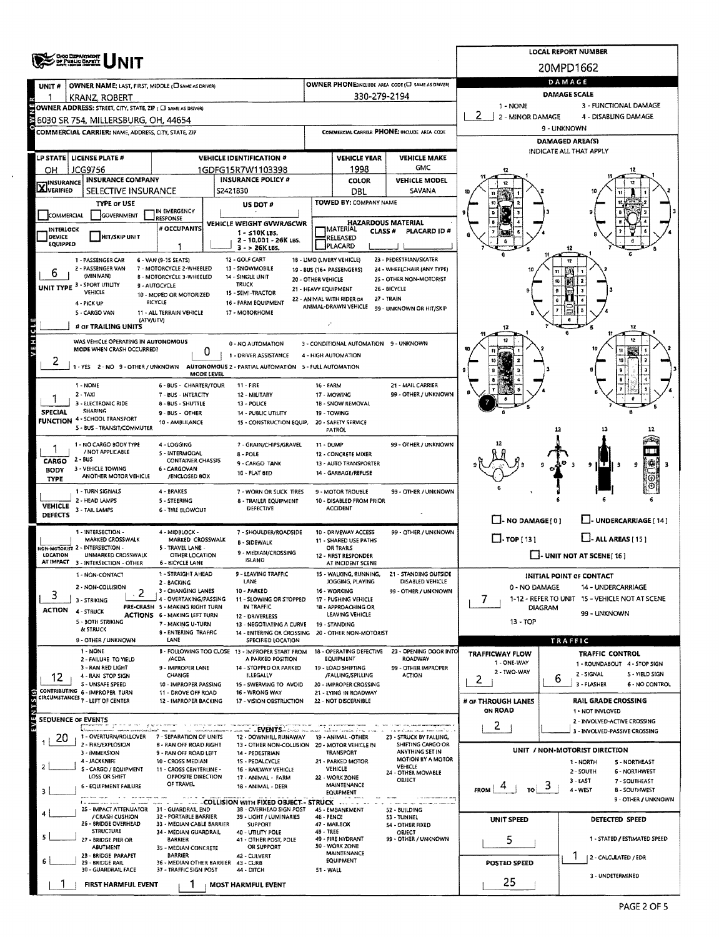|                           | ORIO DEPARTMENT<br>DF PUBLIC DATETY                                                                 |                                                                 | <b>LOCAL REPORT NUMBER</b>                                                                                    |                                            |                                                 |                                                    |                                                          |                                                                           |  |  |  |  |
|---------------------------|-----------------------------------------------------------------------------------------------------|-----------------------------------------------------------------|---------------------------------------------------------------------------------------------------------------|--------------------------------------------|-------------------------------------------------|----------------------------------------------------|----------------------------------------------------------|---------------------------------------------------------------------------|--|--|--|--|
|                           |                                                                                                     |                                                                 |                                                                                                               |                                            |                                                 |                                                    |                                                          | 20MPD1662                                                                 |  |  |  |  |
| UNIT#                     | OWNER NAME: LAST, FIRST, MIDDLE (C) SAME AS DRIVER)                                                 |                                                                 | OWNER PHONE:INCLUDE AREA CODE (E) SAME AS DRIVERY                                                             | DAMAGE                                     |                                                 |                                                    |                                                          |                                                                           |  |  |  |  |
|                           | <b>KRANZ, ROBERT</b>                                                                                |                                                                 |                                                                                                               |                                            | 330-279-2194                                    |                                                    | <b>DAMAGE SCALE</b><br>1 - NONE<br>3 - FUNCTIONAL DAMAGE |                                                                           |  |  |  |  |
|                           | OWNER ADDRESS: STREET, CITY, STATE, ZIP ( C) SAME AS DRIVER)<br>6030 SR 754, MILLERSBURG, OH, 44654 |                                                                 |                                                                                                               | 2 - MINOR DAMAGE<br>4 - DISABLING DAMAGE   |                                                 |                                                    |                                                          |                                                                           |  |  |  |  |
|                           | COMMERCIAL CARRIER: NAME, ADDRESS, CITY, STATE, ZIP                                                 |                                                                 |                                                                                                               |                                            |                                                 | COMMERCIAL CARRIER PHONE: INCLUDE AREA CODE        |                                                          | 9 - UNKNOWN                                                               |  |  |  |  |
|                           |                                                                                                     |                                                                 |                                                                                                               |                                            |                                                 |                                                    | <b>DAMAGED AREA(S)</b>                                   |                                                                           |  |  |  |  |
|                           | LP STATE   LICENSE PLATE #                                                                          |                                                                 | <b>VEHICLE IDENTIFICATION #</b>                                                                               | <b>VEHICLE YEAR</b><br><b>VEHICLE MAKE</b> |                                                 |                                                    |                                                          | INDICATE ALL THAT APPLY                                                   |  |  |  |  |
| ОН                        | JCG9756                                                                                             |                                                                 | 1GDFG15R7W1103398                                                                                             |                                            | 1998                                            | <b>GMC</b>                                         |                                                          |                                                                           |  |  |  |  |
| <b>X</b> INSURANCE        | <b>INSURANCE COMPANY</b>                                                                            |                                                                 | <b>INSURANCE POLICY #</b><br>S2421B30                                                                         |                                            | COLOR                                           | <b>VEHICLE MODEL</b>                               |                                                          |                                                                           |  |  |  |  |
|                           | SELECTIVE INSURANCE<br><b>TYPE OF USE</b>                                                           |                                                                 | US DOT #                                                                                                      |                                            | DBL<br>TOWED BY: COMPANY NAME                   | SAVANA                                             |                                                          |                                                                           |  |  |  |  |
| COMMERCIAL                | GOVERNMENT                                                                                          | IN EMERGENCY<br>RESPONSE                                        |                                                                                                               |                                            |                                                 |                                                    |                                                          |                                                                           |  |  |  |  |
| <b>INTERLOCK</b>          |                                                                                                     | # OCCUPANTS                                                     | VEHICLE WEIGHT GVWR/GCWR<br>$1 - 510K$ LBS.                                                                   |                                            | <b>HAZARDOUS MATERIAL</b><br>MATERIAL<br>CLASS# | PLACARD ID#                                        |                                                          |                                                                           |  |  |  |  |
| DEVICE<br><b>EQUIPPED</b> | <b>HIT/SKIP UNIT</b>                                                                                | ı                                                               | 2 - 10.001 - 26K LBS.                                                                                         |                                            | RELEASED<br>PLACARD                             |                                                    |                                                          |                                                                           |  |  |  |  |
|                           | 1 - PASSENGER CAR                                                                                   | 6 - VAN (9-15 SEATS)                                            | $3 - 26K1BS$<br>12 - GOLF CART                                                                                |                                            | 18 - LIMO (LIVERY VEHICLE)                      | 23 - PEDESTRIAN/SKATER                             |                                                          | 12                                                                        |  |  |  |  |
| 6                         | 2 - PASSENGER VAN<br>(MINIVAN)                                                                      | 7 - MOTORCYCLE 2-WHEELED                                        | 13 - SNOWMOBILE                                                                                               |                                            | 19 - BUS (16+ PASSENGERS)                       | 24 - WHEELCHAIR (ANY TYPE)                         |                                                          |                                                                           |  |  |  |  |
|                           | UNIT TYPE 3 - SPORT UTILITY                                                                         | <b>B - MOTORCYCLE 3-WHEELED</b><br>9 - AUTOCYCLE                | 14 - SINGLE UNIT<br>TRUCK                                                                                     | 20 - OTHER VEHICLE<br>21 - HEAVY EQUIPMENT |                                                 | 25 - OTHER NON-MOTORIST<br>26 - BICYCLE            |                                                          |                                                                           |  |  |  |  |
|                           | VEHICLE<br>4 - PICK UP                                                                              | 10 - MOPED OR MOTORIZED<br>BICYCLE                              | 15 - SEMI-TRACTOR<br>16 - FARM EQUIPMENT                                                                      |                                            | 22 - ANIMAL WITH RIDER OR                       | 27 - TRAIN                                         |                                                          |                                                                           |  |  |  |  |
|                           | 5 - CARGO VAN                                                                                       | 11 - ALL TERRAIN VEHICLE                                        | 17 - MOTORHOME                                                                                                |                                            | ANIMAL-DRAWN VEHICLE                            | 99 - UNKNOWN OR HIT/SKIP                           |                                                          |                                                                           |  |  |  |  |
|                           | (ATV/UTV)<br># OF TRAILING UNITS                                                                    |                                                                 |                                                                                                               | $\mathbf{r}$                               |                                                 |                                                    |                                                          |                                                                           |  |  |  |  |
| <b>AEHICL</b>             | WAS VEHICLE OPERATING IN AUTONOMOUS                                                                 |                                                                 | 0 - NO AUTOMATION                                                                                             |                                            | 3 - CONDITIONAL AUTOMATION 9 - UNKNOWN          |                                                    |                                                          |                                                                           |  |  |  |  |
|                           | MODE WHEN CRASH OCCURRED?                                                                           | 0                                                               | 1 - DRIVER ASSISTANCE                                                                                         |                                            | 4 - HIGH AUTOMATION                             |                                                    |                                                          |                                                                           |  |  |  |  |
| 2                         |                                                                                                     |                                                                 | 1 - YES 2 - NO 9 - OTHER / UNKNOWN AUTONOMOUS 2 - PARTIAL AUTOMATION 5 - FULL AUTOMATION<br><b>MODE LEVEL</b> |                                            |                                                 |                                                    |                                                          |                                                                           |  |  |  |  |
|                           | 1 - NONE                                                                                            | 6 - BUS - CHARTER/TOUR                                          | 11 - FIRE                                                                                                     | 16 - FARM                                  |                                                 | 21 - MAIL CARRIER                                  |                                                          |                                                                           |  |  |  |  |
|                           | $2 - TAXI$                                                                                          | 7 - BUS - INTERCITY                                             | 12 - MILITARY                                                                                                 |                                            | 17 - MOWING                                     | 99 - OTHER / UNKNOWN                               |                                                          |                                                                           |  |  |  |  |
| <b>SPECIAL</b>            | 3 - ELECTRONIC RIDE<br><b>SHARING</b>                                                               | 8 - BUS - SHUTTLE<br>9 - BUS - OTHER                            | 13 - POLICE<br>14 - PUBLIC UTILITY                                                                            |                                            | 1B - SNOW REMOVAL<br>19 - TOWING                |                                                    |                                                          |                                                                           |  |  |  |  |
|                           | <b>FUNCTION 4 - SCHOOL TRANSPORT</b><br>5 - BUS - TRANSIT/COMMUTER                                  | 10 - AMBULANCE                                                  | 15 - CONSTRUCTION EQUIP.                                                                                      |                                            | 20 - SAFETY SERVICE<br><b>PATROL</b>            |                                                    |                                                          | 12                                                                        |  |  |  |  |
|                           | 1 - NO CARGO BODY TYPE                                                                              | 4 - LOGGING                                                     | 7 - GRAIN/CHIPS/GRAVEL                                                                                        | 11 - DUMP                                  |                                                 | 99 - OTHER / UNKNOWN                               |                                                          |                                                                           |  |  |  |  |
|                           | / NOT APPLICABLE<br>2 - BUS                                                                         | 5 - INTERMODAL                                                  | 8 - POLE                                                                                                      |                                            | 12 - CONCRETE MIXER                             |                                                    |                                                          |                                                                           |  |  |  |  |
| CARGO<br><b>BODY</b>      | 3 - VEHICLE TOWING                                                                                  | <b>CONTAINER CHASSIS</b><br>6 - CARGOVAN                        | 9 - CARGO TANK<br>10 - FLAT BED                                                                               |                                            | 13 - AUTO TRANSPORTER<br>14 - GARBAGE/REFUSE    |                                                    |                                                          | 9                                                                         |  |  |  |  |
| TYPE                      | ANOTHER MOTOR VEHICLE                                                                               | /ENCLOSED BOX                                                   |                                                                                                               |                                            |                                                 |                                                    |                                                          |                                                                           |  |  |  |  |
|                           | 1 - TURN SIGNALS<br>2 - HEAD LAMPS                                                                  | 4 - BRAKES<br>5 - STEERING                                      | 7 - WORN OR SLICK TIRES<br>8 - TRAILER EQUIPMENT                                                              |                                            | 9 - MOTOR TROUBLE<br>10 - DISABLED FROM PRIOR   | 99 - OTHER / UNKNOWN                               |                                                          |                                                                           |  |  |  |  |
| VEHICLE<br>DEFECTS        | 3 - TAIL LAMPS                                                                                      | <b>6 - TIRE BLOWOUT</b>                                         | <b>DEFECTIVE</b>                                                                                              |                                            | <b>ACCIDENT</b>                                 |                                                    |                                                          |                                                                           |  |  |  |  |
|                           |                                                                                                     |                                                                 |                                                                                                               |                                            |                                                 | 99 - OTHER / UNKNOWN                               | $\Box$ - NO DAMAGE $\{0\}$                               | U-UNDERCARRIAGE [14]                                                      |  |  |  |  |
|                           | 1 - INTERSECTION -<br>MARKED CROSSWALK                                                              | 4 - MIDBLOCK -<br>MARKED CROSSWALK                              | 7 - SHOULDER/ROADSIDE<br><b>B - SIDEWALK</b>                                                                  |                                            | 10 - DRIVEWAY ACCESS<br>11 - SHARED USE PATHS   |                                                    | $\Box$ TOP [13]                                          | $L$ - ALL AREAS [15]                                                      |  |  |  |  |
| LOCATION                  | NON-MOTORIST 2 - INTERSECTION -<br>UNMARKED CROSSWALK                                               | 5 - TRAVEL LANE -<br>OTHER LOCATION                             | 9 - MEDIAN/CROSSING<br><b>ISLAND</b>                                                                          |                                            | OR TRAILS<br>12 - FIRST RESPONDER               |                                                    | $\Box$ - UNIT NOT AT SCENE [16]                          |                                                                           |  |  |  |  |
|                           | AT IMPACT 3 - INTERSECTION - OTHER                                                                  | <b>6 - BICYCLE LANE</b><br>1 - STRAIGHT AHEAD                   | 9 - LEAVING TRAFFIC                                                                                           |                                            | AT INCIDENT SCENE<br>15 - WALKING, RUNNING,     | 21 - STANDING OUTSIDE                              |                                                          |                                                                           |  |  |  |  |
|                           | 1 - NON-CONTACT<br>2 - NON-COLLISION                                                                | 2 - BACKING                                                     | LANE                                                                                                          |                                            | JOGGING, PLAYING                                | DISABLED VEHICLE                                   | 0 - NO DAMAGE                                            | INITIAL POINT OF CONTACT<br>14 - UNDERCARRIAGE                            |  |  |  |  |
| З                         | 3 - STRIKING                                                                                        | 3 - CHANGING LANES<br>4 - OVERTAKING/PASSING                    | 10 - PARKED<br>11 - SLOWING OR STOPPED                                                                        |                                            | 16 - WORKING<br>17 - PUSHING VEHICLE            | 99 - OTHER / UNKNOWN                               | 7                                                        | 1-12 - REFER TO UNIT 15 - VEHICLE NOT AT SCENE                            |  |  |  |  |
| <b>ACTION</b>             | 4 - STRUCK                                                                                          | PRE-CRASH 5 - MAKING RIGHT TURN<br>ACTIONS 6 - MAKING LEFT TURN | IN TRAFFIC<br>12 - DRIVERLESS                                                                                 |                                            | 18 - APPROACHING OR<br>LEAVING VEHICLE          |                                                    | DIAGRAM                                                  | 99 - UNKNOWN                                                              |  |  |  |  |
|                           | 5 - BOTH STRIKING<br>& STRUCK                                                                       | 7 - MAKING U-TURN                                               | 13 - NEGOTIATING A CURVE                                                                                      |                                            | 19 - STANDING                                   |                                                    | $13 - TOP$                                               |                                                                           |  |  |  |  |
|                           | 9 - OTHER / UNKNOWN                                                                                 | <b>B-ENTERING TRAFFIC</b><br>LANE                               | 14 - ENTERING OR CROSSING 20 - OTHER NON-MOTORIST<br>SPECIFIED LOCATION                                       |                                            |                                                 |                                                    |                                                          | TRAFFIC                                                                   |  |  |  |  |
|                           | 1 - NONE<br>2 - FAILURE TO YIELD                                                                    | /ACDA                                                           | B - FOLLOWING TOO CLOSE 13 - IMPROPER START FROM<br>A PARKED POSITION                                         |                                            | 18 - OPERATING DEFECTIVE<br>EQUIPMENT           | 23 - OPENING DOOR INTO<br><b>ROADWAY</b>           | <b>TRAFFICWAY FLOW</b>                                   | <b>TRAFFIC CONTROL</b>                                                    |  |  |  |  |
|                           | 3 - RAN RED LIGHT                                                                                   | 9 - IMPROPER LANE                                               | 14 - STOPPED OR PARKED                                                                                        |                                            | 19 - LOAD SHIFTING                              | 99 - OTHER IMPROPER                                | 1 - ONE-WAY<br>2 - TWO-WAY                               | 1 - ROUNDABOUT 4 - STOP SIGN                                              |  |  |  |  |
| 12                        | 4 - RAN STOP SIGN<br><b>S - UNSAFE SPEED</b>                                                        | CHANGE<br>10 - IMPROPER PASSING                                 | <b>ILLEGALLY</b><br>15 - SWERVING TO AVOID                                                                    |                                            | /FALLING/SPILLING<br>20 - IMPROPER CROSSING     | ACTION                                             | 2                                                        | 2 - SIGNAL<br><b>S - AIEFD ZICM</b><br>6<br>3 - FLASHER<br>6 - NO CONTROL |  |  |  |  |
|                           | CONTRIBUTING 6 - IMPROPER TURN<br>CIRCUMSTANCES 7 - LEFT OF CENTER                                  | 11 - DROVE OFF ROAD<br>12 - IMPROPER BACKING                    | 16 - WRONG WAY<br>17 - VISION OBSTRUCTION                                                                     |                                            | 21 - LYING IN ROADWAY<br>22 - NOT DISCERNIBLE   |                                                    | # OF THROUGH LANES                                       | <b>RAIL GRADE CROSSING</b>                                                |  |  |  |  |
|                           |                                                                                                     |                                                                 |                                                                                                               |                                            |                                                 |                                                    | <b>ON ROAD</b>                                           | 1 - NOT INVLOVED                                                          |  |  |  |  |
|                           | SEQUENCE OF EVENTS                                                                                  |                                                                 | at a EVENTS album and                                                                                         |                                            |                                                 |                                                    | 2                                                        | 2 - INVOLVED-ACTIVE CROSSING<br>3 - INVOLVED-PASSIVE CROSSING             |  |  |  |  |
| 20                        | 1 - OVERTURN/ROLLOVER                                                                               | 7 - SEPARATION OF UNITS                                         | 12 - DOWNHILL RUNAWAY                                                                                         |                                            | 19 - ANIMAL - OTHER                             | 23 - STRUCK BY FALLING,                            |                                                          |                                                                           |  |  |  |  |
|                           | 2 - FIRE/EXPLOSION<br>3 - IMMERSION                                                                 | 8 - RAN OFF ROAD RIGHT<br>9 - RAN OFF ROAD LEFT                 | 13 - OTHER NON-COLLISION 20 - MOTOR VEHICLE IN<br>14 - PEDESTRIAN                                             |                                            | TRANSPORT                                       | SHIFTING CARGO OR<br>ANYTHING SET IN               |                                                          | UNIT / NON-MOTORIST DIRECTION                                             |  |  |  |  |
|                           | 4 - JACKKNIFE<br>S - CARGO / EQUIPMENT                                                              | 10 - CROSS MEDIAN<br>11 - CROSS CENTERLINE -                    | 15 - PEDALCYCLE<br>16 - RAILWAY VEHICLE                                                                       |                                            | 21 - PARKED MOTOR<br>VEHICLE                    | MOTION BY A MOTOR<br>VEHICLE<br>24 - OTHER MOVABLE |                                                          | 1 - NORTH<br>5 - NORTHEAST<br>2 - SOUTH<br><b>6 - NORTHWEST</b>           |  |  |  |  |
|                           | LOSS OR SHIFT<br>6 - EQUIPMENT FAILURE                                                              | OPPOSITE DIRECTION<br>OF TRAVEL                                 | 17 - ANIMAL - FARM                                                                                            |                                            | 22 - WORK ZONE                                  | OBJECT                                             |                                                          | $3 - EAST$<br>7 - SOUTHEAST                                               |  |  |  |  |
| 3                         |                                                                                                     |                                                                 | 18 - ANIMAL - DEER                                                                                            | MAINTENANCE<br><b>EQUIPMENT</b>            |                                                 |                                                    | $\frac{3}{10}$<br><b>FROM</b>                            | 4 - WEST<br><b>B-SOUTHWEST</b><br>9 - OTHER / UNKNOWN                     |  |  |  |  |
|                           | 25 - IMPACT ATTENUATOR 31 - GUARDRAIL END                                                           |                                                                 | - - - COLLISION WITH FIXED OBJECT - STRUCK<br>3B - OVERHEAD SIGN POST                                         |                                            | 45 - EMBANKMENT                                 | 52 - BUILDING                                      |                                                          |                                                                           |  |  |  |  |
|                           | / CRASH CUSHION<br>26 - BRIDGE OVERHEAD                                                             | 32 - PORTABLE BARRIER<br>33 - MEDIAN CABLE BARRIER              | 39 - LIGHT / LUMINARIES<br><b>SUPPORT</b>                                                                     | 46 - FENCE                                 | 47 - MAILBOX                                    | 53 - TUNNEL<br>54 - OTHER FIXED                    | UNIT SPEED                                               | DETECTED SPEED                                                            |  |  |  |  |
|                           | <b>STRUCTURE</b><br>27 - BRIDGE PIER OR                                                             | 34 - MEDIAN GUARDRAIL<br><b>BARRIER</b>                         | 40 - UTILITY POLE<br>41 - OTHER POST, POLE                                                                    | 48 - TREE                                  | 49 - FIRE HYDRANT                               | OBJECT<br>99 - OTHER / UNKNOWN                     | 5                                                        | 1 - STATED / ESTIMATED SPEED                                              |  |  |  |  |
|                           | ABUTMENT<br>28 - BRIDGE PARAPET                                                                     | 35 - MEDIAN CONCRETE<br><b>BARRIER</b>                          | OR SUPPORT                                                                                                    |                                            | 50 - WORK ZONE<br><b>MAINTENANCE</b>            |                                                    |                                                          |                                                                           |  |  |  |  |
|                           | 29 - BRIDGE RAIL<br>30 - GUARDRAIL FACE                                                             | 37 - TRAFFIC SIGN POST                                          | 42 - CULVERT<br>36 - MEDIAN OTHER BARRIER 43 - CURB                                                           |                                            | EQUIPMENT                                       |                                                    | POSTED SPEED                                             | 2 - CALCULATED / EDR                                                      |  |  |  |  |
|                           |                                                                                                     |                                                                 | 44 - DITCH                                                                                                    | 51 WALL                                    |                                                 |                                                    | 25                                                       | 3 - UNDETERMINED                                                          |  |  |  |  |
|                           | FIRST HARMFUL EVENT                                                                                 |                                                                 | <b>MOST HARMFUL EVENT</b>                                                                                     |                                            |                                                 |                                                    |                                                          |                                                                           |  |  |  |  |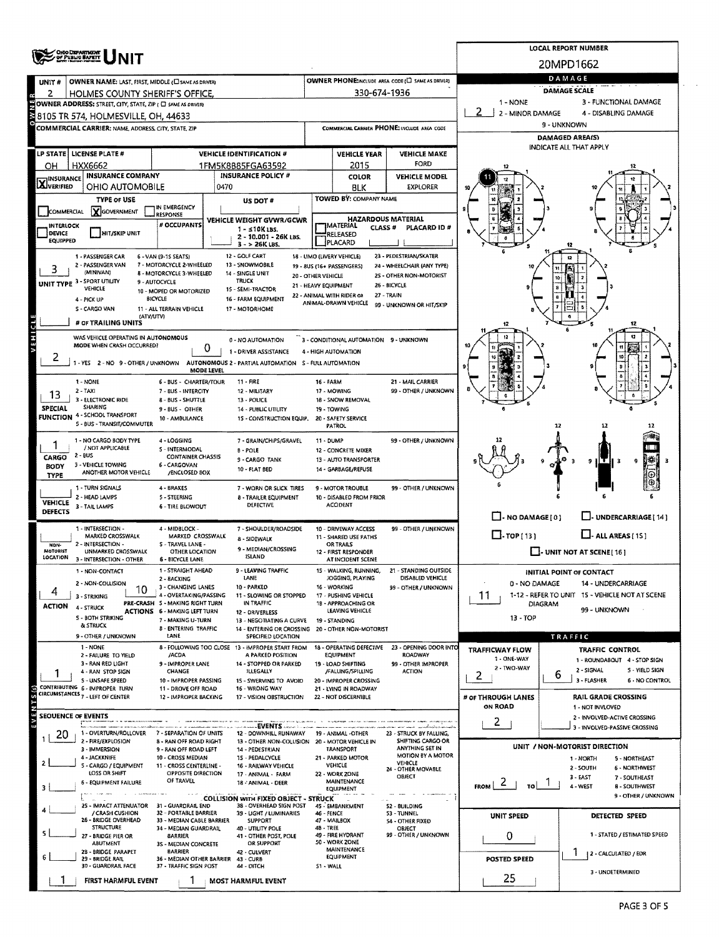|                                  | <b>ONO DEPARTMENT</b><br>Of Public Bapett                                                       |                                                           | <b>LOCAL REPORT NUMBER</b>                                     |                                                                                      |                                                                |                                                               |                                                           |                                                   |                                 |                                                          |  |  |  |  |
|----------------------------------|-------------------------------------------------------------------------------------------------|-----------------------------------------------------------|----------------------------------------------------------------|--------------------------------------------------------------------------------------|----------------------------------------------------------------|---------------------------------------------------------------|-----------------------------------------------------------|---------------------------------------------------|---------------------------------|----------------------------------------------------------|--|--|--|--|
|                                  |                                                                                                 |                                                           |                                                                |                                                                                      |                                                                |                                                               |                                                           | 20MPD1662                                         |                                 |                                                          |  |  |  |  |
| UNIT #                           | OWNER NAME: LAST, FIRST, MIDDLE (C) SAME AS DRIVERY                                             |                                                           |                                                                |                                                                                      |                                                                |                                                               | OWNER PHONE:INCLUDE AREA CODE (L) SAME AS DRIVER)         | DAMAGE<br><b>DAMAGE SCALE</b>                     |                                 |                                                          |  |  |  |  |
| 2                                | HOLMES COUNTY SHERIFF'S OFFICE.<br>OWNER ADDRESS: STREET, CITY, STATE, ZIP ( C) SAME AS DRIVERY |                                                           |                                                                |                                                                                      |                                                                | 330-674-1936                                                  |                                                           | 3 - FUNCTIONAL DAMAGE<br>$1 - NONE$               |                                 |                                                          |  |  |  |  |
|                                  | 8105 TR 574, HOLMESVILLE, OH, 44633                                                             |                                                           |                                                                |                                                                                      |                                                                |                                                               |                                                           | 2 - MINOR DAMAGE<br>4 - DISABLING DAMAGE          |                                 |                                                          |  |  |  |  |
|                                  | COMMERCIAL CARRIER: NAME. ADDRESS. CITY. STATE. ZIP                                             |                                                           |                                                                |                                                                                      |                                                                |                                                               | COMMERCIAL CARRIER PHONE: INCLUDE AREA CODE               | 9 - UNKNOWN                                       |                                 |                                                          |  |  |  |  |
|                                  |                                                                                                 |                                                           |                                                                |                                                                                      |                                                                |                                                               |                                                           | <b>DAMAGED AREA(S)</b><br>INDICATE ALL THAT APPLY |                                 |                                                          |  |  |  |  |
|                                  | LP STATE LICENSE PLATE #                                                                        |                                                           |                                                                | <b>VEHICLE IDENTIFICATION #</b>                                                      | <b>VEHICLE MAKE</b><br><b>VEHICLE YEAR</b><br>FORD             |                                                               |                                                           |                                                   |                                 |                                                          |  |  |  |  |
| OН                               | HXX6662<br><b>INSURANCE COMPANY</b>                                                             |                                                           |                                                                | 1FM5K8B85FGA63592<br><b>INSURANCE POLICY #</b>                                       |                                                                | 2015<br>COLOR                                                 | <b>VEHICLE MODEL</b>                                      |                                                   |                                 |                                                          |  |  |  |  |
| <b>X</b> INSURANCE               | OHIO AUTOMOBILE                                                                                 |                                                           | 0470                                                           |                                                                                      |                                                                | <b>BLK</b>                                                    | <b>EXPLORER</b>                                           |                                                   |                                 |                                                          |  |  |  |  |
|                                  | <b>TYPE OF USE</b>                                                                              | IN EMERGENCY                                              |                                                                | US DOT #                                                                             |                                                                | TOWED BY: COMPANY NAME                                        |                                                           |                                                   |                                 |                                                          |  |  |  |  |
| COMMERCIAL                       | <b>Y</b> GOVERNMENT                                                                             | <b>RESPONSE</b>                                           |                                                                | VEHICLE WEIGHT GVWR/GCWR                                                             |                                                                | <b>HAZARDOUS MATERIAL</b>                                     |                                                           |                                                   |                                 |                                                          |  |  |  |  |
| <b>INTERLOCK</b><br>DEVICE       | HIT/SKIP UNIT                                                                                   | # OCCUPANTS                                               | $1 - 510$ K LBS.<br>2 - 10.001 - 26K LBS.                      |                                                                                      | <b>IMATERIAL</b><br><b>CLASS #</b><br>PLACARD ID #<br>RELEASED |                                                               |                                                           |                                                   |                                 |                                                          |  |  |  |  |
| <b>EQUIPPED</b>                  |                                                                                                 |                                                           |                                                                | $3 - 26K$ LBS.<br>12 - GOLF CART                                                     |                                                                | PLACARD<br>18 - LIMO (LIVERY VEHICLE)                         | 23 - PEDESTRIAN/SKATER                                    |                                                   |                                 |                                                          |  |  |  |  |
| 3                                | 1 - PASSENGER CAR<br>2 - PASSENGER VAN                                                          | 6 - VAN (9-1S SEATS)<br>7 - MOTORCYCLE 2-WHEELED          |                                                                |                                                                                      |                                                                |                                                               |                                                           |                                                   |                                 |                                                          |  |  |  |  |
|                                  | (MINIVAN)<br>UNIT TYPE 3 - SPORT UTILITY                                                        | 8 - MOTORCYCLE 3-WHEELED<br>9 - AUTOCYCLE                 |                                                                | 14 - SINGLE UNIT<br><b>TRUCK</b>                                                     | 20 - OTHER VEHICLE                                             | 21 - HEAVY EQUIPMENT                                          | 25 - OTHER NON-MOTORIST<br>26 - BICYCLE                   |                                                   |                                 |                                                          |  |  |  |  |
|                                  | VEHICLE<br>4 - PICK UP                                                                          | 10 - MOPED OR MOTORIZED<br><b>BICYCLE</b>                 |                                                                | 15 - SEMI-TRACTOR<br>16 - FARM EQUIPMENT                                             |                                                                | 22 - ANIMAL WITH RIDER OR                                     | 27 - TRAIN                                                |                                                   |                                 |                                                          |  |  |  |  |
|                                  | S - CARGO VAN                                                                                   | 11 - ALL TERRAIN VEHICLE                                  |                                                                | 17 - MOTORHOME                                                                       |                                                                | ANIMAL-DRAWN VEHICLE                                          | 99 - UNKNOWN OR HIT/SKIP                                  |                                                   |                                 |                                                          |  |  |  |  |
|                                  | (ATV/UTV)<br># OF TRAILING UNITS                                                                |                                                           |                                                                |                                                                                      |                                                                |                                                               |                                                           |                                                   |                                 |                                                          |  |  |  |  |
|                                  | WAS VEHICLE OPERATING IN AUTONOMOUS<br>MODE WHEN CRASH OCCURRED?                                |                                                           |                                                                | 0 - NO AUTOMATION                                                                    |                                                                | 3 - CONDITIONAL AUTOMATION 9 - UNKNOWN                        |                                                           |                                                   |                                 |                                                          |  |  |  |  |
| 2                                |                                                                                                 |                                                           | 0                                                              | 1 - DRIVER ASSISTANCE                                                                |                                                                | 4 - HIGH AUTOMATION                                           |                                                           |                                                   |                                 |                                                          |  |  |  |  |
|                                  | 1 - YES 2 - NO 9 - OTHER / UNKNOWN AUTONOMOUS 2 - PARTIAL AUTOMATION 5 - FULL AUTOMATION        |                                                           | <b>MODE LEVEL</b>                                              |                                                                                      |                                                                |                                                               |                                                           |                                                   |                                 |                                                          |  |  |  |  |
|                                  | 1 - NONE                                                                                        | 6 - BUS - CHARTER/TOUR                                    |                                                                | 11 - FIRE                                                                            | <b>16 - FARM</b>                                               |                                                               | 21 - MAIL CARRIER                                         |                                                   |                                 |                                                          |  |  |  |  |
| 13                               | 2 - TAXI<br>3 - ELECTRONIC RIDE                                                                 | 7 - BUS - INTERCITY<br>8 - BUS - SHUTTLE                  |                                                                | 12 - MILITARY<br>13 - POLICE                                                         |                                                                | 17 - MOWING<br>18 - SNOW REMOVAL                              | 99 - OTHER / UNKNOWN                                      |                                                   |                                 |                                                          |  |  |  |  |
| <b>SPECIAL</b>                   | SHARING<br>FUNCTION 4 - SCHOOL TRANSPORT                                                        | 9 - BUS - OTHER<br>10 - AMBULANCE                         |                                                                | <b>14 - PUBLIC UTILITY</b><br>15 - CONSTRUCTION EQUIP.                               |                                                                | 19 - TOWING<br>20 - SAFETY SERVICE                            |                                                           |                                                   |                                 |                                                          |  |  |  |  |
|                                  | 5 - BUS - TRANSIT/COMMUTER                                                                      |                                                           |                                                                |                                                                                      |                                                                | PATROL                                                        |                                                           |                                                   | 12                              |                                                          |  |  |  |  |
|                                  | 1 - NO CARGO BODY TYPE<br>/ NOT APPLICABLE                                                      | 4 - LOGGING<br><b>S-INTERMODAL</b>                        |                                                                | 7 - GRAIN/CHIPS/GRAVEL<br><b>B-POLE</b>                                              | 11 - DUMP                                                      | 12 - CONCRETE MIXER                                           | 99 - OTHER / UNKNOWN                                      |                                                   |                                 |                                                          |  |  |  |  |
| CARGO                            | $2 - BUS$<br>3 - VEHICLE TOWING                                                                 | <b>CONTAINER CHASSIS</b><br>6 - CARGOVAN                  |                                                                | 9 - CARGO TANK                                                                       |                                                                | 13 - AUTO TRANSPORTER                                         |                                                           |                                                   |                                 | 9.                                                       |  |  |  |  |
| <b>BODY</b><br><b>TYPE</b>       | ANOTHER MOTOR VEHICLE                                                                           | /ENCLOSED BOX                                             |                                                                | 10 - FLAT BED                                                                        |                                                                | 14 - GARBAGE/REFUSE                                           |                                                           |                                                   |                                 |                                                          |  |  |  |  |
|                                  | 1 - TURN SIGNALS                                                                                | 4 - BRAKES                                                |                                                                | 7 - WORN OR SLICK TIRES                                                              |                                                                | 9 - MOTOR TROUBLE                                             | 99 - OTHER / UNKNOWN                                      |                                                   |                                 |                                                          |  |  |  |  |
| <b>VEHICLE</b><br><b>DEFECTS</b> | 2 - HEAD LAMPS<br>3 - TAIL LAMPS                                                                | 5 - STEERING<br><b>6 - TIRE BLOWOUT</b>                   |                                                                | 8 - TRAILER EQUIPMENT<br><b>DEFECTIVE</b>                                            |                                                                | 10 - DISABLED FROM PRIOR<br><b>ACCIDENT</b>                   |                                                           |                                                   |                                 |                                                          |  |  |  |  |
|                                  |                                                                                                 |                                                           |                                                                |                                                                                      |                                                                |                                                               |                                                           | $\Box$ - NO DAMAGE [ 0 ]                          |                                 | L. UNDERCARRIAGE [ 14 ]                                  |  |  |  |  |
|                                  | 1 - INTERSECTION -<br>MARKED CROSSWALK                                                          | 4 - MIDBLOCK -<br>MARKED CROSSWALK                        |                                                                | 7 - SHOULDER/ROADSIDE<br>8 - SIDEWALK                                                |                                                                | 10 - DRIVEWAY ACCESS<br>11 - SHARED USE PATHS                 | 99 - OTHER / UNKNOWN                                      | $\Box$ - rop(13)<br>$L$ - ALL AREAS (15)          |                                 |                                                          |  |  |  |  |
| NON-<br>MOTORIST<br>LOCATION     | 2 - INTERSECTION -<br>UNMARKED CROSSWALK                                                        | S - TRAVEL LANE -<br>OTHER LOCATION                       |                                                                | 9 - MEDIAN/CROSSING<br><b>ISLAND</b>                                                 |                                                                | OR TRAILS<br>12 - FIRST RESPONDER                             |                                                           | $\Box$ - UNIT NOT AT SCENE [16]                   |                                 |                                                          |  |  |  |  |
|                                  | 3 - INTERSECTION - OTHER<br>1 - NON-CONTACT                                                     | 6 - BICYCLE LANE<br>1 - STRAIGHT AHEAD                    |                                                                | 9 - LEAVING TRAFFIC                                                                  |                                                                | AT INCIDENT SCENE<br>15 - WALKING, RUNNING,                   | - STANDING OUTSIDE                                        |                                                   | <b>INITIAL POINT OF CONTACT</b> |                                                          |  |  |  |  |
|                                  | 2 - NON-COLLISION                                                                               | 2 - BACKING<br>3 - CHANGING LANES                         |                                                                | LANE<br>10 - PARKED                                                                  |                                                                | JOGGING, PLAYING<br>16 - WORKING                              | DISABLED VEHICLE<br>99 - OTHER / UNKNOWN                  | 0 - NO DAMAGE                                     |                                 | 14 - UNDERCARRIAGE                                       |  |  |  |  |
| 4                                | 10<br>3 - STRIKING                                                                              | 4 - OVERTAKING/PASSING<br>PRE-CRASH 5 - MAKING RIGHT TURN |                                                                | 11 - SLOWING OR STOPPED<br>IN TRAFFIC                                                |                                                                | 17 - PUSHING VEHICLE<br>18 - APPROACHING OR                   |                                                           | 11                                                |                                 | 1-12 - REFER TO UNIT 15 - VEHICLE NOT AT SCENE           |  |  |  |  |
| ACTION                           | 4 - STRUCK<br><b>S - BOTH STRIKING</b>                                                          | ACTIONS 6 - MAKING LEFT TURN                              |                                                                | 12 - ORIVERLESS                                                                      |                                                                | LEAVING VEHICLE                                               |                                                           | 13 - TOP                                          | DIAGRAM                         | 99 - UNKNOWN                                             |  |  |  |  |
|                                  | & STRUCK                                                                                        | 7 - MAKING U-TURN<br><b>B - ENTERING TRAFFIC</b>          |                                                                | <b>13 - NEGOTIATING A CURVE</b><br>14 - ENTERING OR CROSSING 20 - OTHER NON-MOTORIST |                                                                | 19 - STANDING                                                 |                                                           |                                                   |                                 |                                                          |  |  |  |  |
|                                  | 9 - OTHER / UNKNOWN<br>1 - NONE                                                                 | LANE                                                      |                                                                | SPECIFIED LOCATION<br>8 - FOLLOWING TOO CLOSE 13 - IMPROPER START FROM               |                                                                | 18 - OPERATING DEFECTIVE                                      | 23 - OPENING DOOR INTO                                    |                                                   |                                 | TRAFFIC                                                  |  |  |  |  |
|                                  | 2 - FAILURE TO VIELD<br>3 - RAN RED LIGHT                                                       | /ACDA<br>9 - IMPROPER LANE                                |                                                                | A PARKED POSITION<br>14 - STOPPED OR PARKED                                          |                                                                | EQUIPMENT<br>19 - LOAD SHIFTING                               | ROADWAY<br>99 - OTHER IMPROPER                            | TRAFFICWAY FLOW<br>1 - ONE-WAY                    |                                 | <b>TRAFFIC CONTROL</b><br>1 - ROUNDABOUT 4 - STOP SIGN   |  |  |  |  |
|                                  | 4 - RAN STOP SIGN                                                                               | <b>CHANGE</b>                                             |                                                                | <b>ILLEGALLY</b>                                                                     |                                                                | /FALUNG/SPILLING                                              | <b>ACTION</b>                                             | 2 - TWO WAY<br>2                                  | 6                               | 2 - SIGNAL<br><b>S - YIELD SIGN</b>                      |  |  |  |  |
|                                  | <b>5 - UNSAFE SPEED</b><br>CONTRIBUTING 6 - IMPROPER TURN                                       | 10 - IMPROPER PASSING<br>11 - DROVE OFF ROAD              |                                                                | 15 - SWERVING TO AVOID<br>16 - WRONG WAY                                             |                                                                | 20 - IMPROPER CROSSING<br>21 - LYING IN ROADWAY               |                                                           |                                                   |                                 | 3 - FLASHER<br><b>6 - NO CONTROL</b>                     |  |  |  |  |
|                                  | CIRCUMSTANCES <sub>7</sub> - LEFT OF CENTER                                                     | 12 - IMPROPER BACKING                                     |                                                                | 17 - VISION OBSTRUCTION                                                              |                                                                | 22 - NOT DISCERNIBLE                                          |                                                           | # OF THROUGH LANES<br>ON ROAD                     |                                 | <b>RAIL GRADE CROSSING</b><br>1 - NOT INVLOVED           |  |  |  |  |
| ΕV                               | <b>SEQUENCE OF EVENTS</b>                                                                       |                                                           |                                                                |                                                                                      |                                                                |                                                               |                                                           | 2                                                 |                                 | 2 - INVOLVED-ACTIVE CROSSING                             |  |  |  |  |
| 20                               | 1 - OVERTURN/ROLLOVER                                                                           | 7 - SEPARATION OF UNITS                                   |                                                                | EVENTS<br>12 - DOWNHILL RUNAWAY                                                      |                                                                | 19 - ANIMAL -OTHER                                            | 23 - STRUCK BY FALLING,                                   |                                                   |                                 | 3 - INVOLVED-PASSIVE CROSSING                            |  |  |  |  |
|                                  | 2 - FIRE/EXPLOSION<br>3 <b>IMMERSION</b>                                                        | 8 - RAN OFF ROAD RIGHT<br>9 - RAN OFF ROAD LEFT           |                                                                | 13 - OTHER NON-COLLISION 20 - MOTOR VEHICLE IN<br>14 - PEDESTRIAN                    |                                                                | <b>TRANSPORT</b>                                              | SHIFTING CARGO OR<br>ANYTHING SET IN<br>MOTION BY A MOTOR |                                                   |                                 | UNIT / NON-MOTORIST DIRECTION                            |  |  |  |  |
|                                  | 4 - JACKKNIFE<br>S - CARGO / EQUIPMENT                                                          | 10 - CROSS MEDIAN<br>11 - CROSS CENTERLINE -              |                                                                | 15 - PEDALCYCLE<br>16 - RAILWAY VEHICLE                                              |                                                                | 21 - PARKED MOTOR<br>VEHICLE                                  | VEHICLE                                                   |                                                   |                                 | 1 - NORTH<br>5 - NORTHEAST<br>2 - SOUTH<br>6 - NORTHWEST |  |  |  |  |
|                                  | LOSS OR SHIFT<br>6 - EQUIPMENT FAILURE                                                          | OF TRAVEL                                                 | OPPOSITE DIRECTION<br>17 - ANIMAL - FARM<br>18 - ANIMAL - DEER |                                                                                      |                                                                | 24 - OTHER MOVABLE<br>22 - WORK ZONE<br>OBJECT<br>MAINTENANCE |                                                           | $3 - EAST$<br>7 - SOUTHEAST<br>۷                  |                                 |                                                          |  |  |  |  |
|                                  |                                                                                                 |                                                           |                                                                | <b>COLLISION WITH FIXED OBJECT - STRUCK</b>                                          |                                                                | <b>EQUIPMENT</b>                                              |                                                           | FROM<br>ī٥l                                       |                                 | 4 - WEST<br><b>8 - SOUTHWEST</b><br>9 - OTHER / UNKNOWN  |  |  |  |  |
|                                  | 25 - IMPACT ATTENUATOR<br>/ CRASH CUSHION                                                       | 31 - GUARDRAIL END<br>32 - PORTABLE BARRIER               |                                                                | 38 - OVERHEAD SIGN POST<br>39 - LIGHT / LUMINARIES                                   | 46 - FENCE                                                     | 45 - EMBANKMENT                                               | 52 - BUILDING<br>53 - TUNNEL                              |                                                   |                                 |                                                          |  |  |  |  |
|                                  | 26 - BRIDGE OVERHEAD<br><b>STRUCTURE</b>                                                        | 33 - MEDIAN CABLE BARRIER<br>34 - MEDIAN GUARDRAIL        |                                                                | <b>SUPPORT</b><br>40 - UTILITY POLE                                                  | 48 - TREE                                                      | 47 - MAILBOX                                                  | 54 - OTHER FIXED<br>OBJECT                                | UNIT SPEED                                        |                                 | DETECTED SPEED                                           |  |  |  |  |
|                                  | 27 - BRIDGE PIER OR<br>ABUTMENT                                                                 | <b>BARRIER</b><br>3S - MEDIAN CONCRETE                    |                                                                | 41 - OTHER POST, POLE<br>OR SUPPORT                                                  | 99 - OTHER / UNKNOWN<br>49 - FIRE HYDRANT<br>50 - WORK ZONE    |                                                               |                                                           | 1 - STATED / ESTIMATED SPEED<br>0                 |                                 |                                                          |  |  |  |  |
|                                  | 28 - BRIDGE PARAPET<br>29 - BRIDGE RAIL                                                         | <b>BARRIER</b><br>36 - MÉDIAN OTHER BARRIER               |                                                                | 42 - CULVERT<br>43 - CURB                                                            | <b>MAINTENANCE</b><br>EQUIPMENT                                |                                                               |                                                           | 2 - CALCULATED / EDR<br>POSTED SPEED              |                                 |                                                          |  |  |  |  |
|                                  | 30 - GUARDRAIL FACE                                                                             | 37 - TRAFFIC SIGN POST                                    |                                                                | 44 - DITCH                                                                           | S1 - WALL                                                      |                                                               |                                                           |                                                   |                                 | 3 - UNDETERMINED                                         |  |  |  |  |
|                                  | FIRST HARMFUL EVENT                                                                             |                                                           |                                                                | <b>MOST HARMFUL EVENT</b>                                                            |                                                                |                                                               |                                                           | 25                                                |                                 |                                                          |  |  |  |  |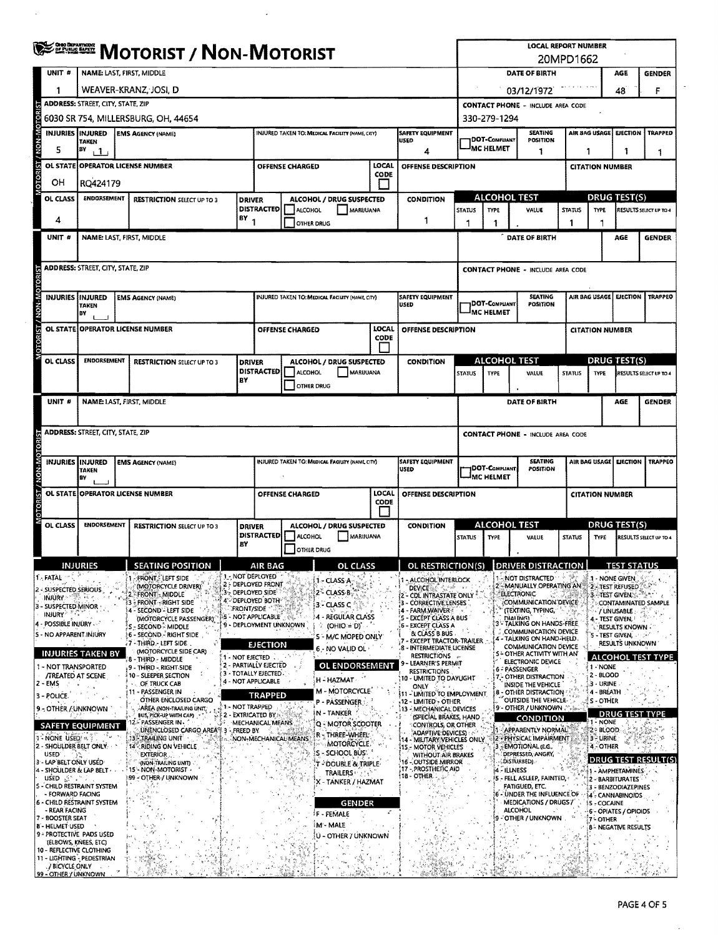|                                            |                    | <b>WE BE MOTORIST / NON-MOTORIST</b>                                                                            |  |                                                                            |         |                                                                                       |                                                                |                                                 |                      |                                                                   | <b>LOCAL REPORT NUMBER</b><br>20MPD1662          |                                                                     |                                                                                  |                        |                                      |                                                   |                          |  |
|--------------------------------------------|--------------------|-----------------------------------------------------------------------------------------------------------------|--|----------------------------------------------------------------------------|---------|---------------------------------------------------------------------------------------|----------------------------------------------------------------|-------------------------------------------------|----------------------|-------------------------------------------------------------------|--------------------------------------------------|---------------------------------------------------------------------|----------------------------------------------------------------------------------|------------------------|--------------------------------------|---------------------------------------------------|--------------------------|--|
|                                            | UNIT #             | <b>NAME: LAST, FIRST, MIDDLE</b>                                                                                |  |                                                                            |         |                                                                                       |                                                                |                                                 |                      |                                                                   | DATE OF BIRTH                                    |                                                                     |                                                                                  |                        |                                      |                                                   | <b>GENDER</b>            |  |
|                                            |                    |                                                                                                                 |  | WEAVER-KRANZ, JOSI, D                                                      |         |                                                                                       |                                                                |                                                 |                      |                                                                   | 48<br>03/12/1972                                 |                                                                     |                                                                                  |                        |                                      |                                                   | F                        |  |
|                                            |                    | ADDRESS: STREET, CITY, STATE, ZIP                                                                               |  |                                                                            |         |                                                                                       |                                                                |                                                 |                      |                                                                   | <b>CONTACT PHONE - INCLUDE AREA CODE</b>         |                                                                     |                                                                                  |                        |                                      |                                                   |                          |  |
| NON-MOTOR                                  |                    | 6030 SR 754, MILLERSBURG, OH, 44654                                                                             |  |                                                                            |         |                                                                                       |                                                                |                                                 |                      |                                                                   | 330-279-1294                                     |                                                                     |                                                                                  |                        |                                      |                                                   |                          |  |
|                                            |                    | <b>INJURIES INJURED</b><br><b>EMS AGENCY (NAME)</b><br>INJURED TAKEN TO: MEDICAL FACILITY (NAME, CITY)<br>TAKEN |  |                                                                            |         |                                                                                       |                                                                |                                                 |                      | <b>SAFETY EQUIPMENT</b><br>USED                                   |                                                  | AIR BAG USAGE<br><b>SEATING</b><br><b>DOT-COMPLIANT</b><br>POSITION |                                                                                  |                        |                                      | EJECTION                                          | <b>TRAPPED</b>           |  |
|                                            | 5                  | BY<br>$\mathbf{1}$                                                                                              |  |                                                                            |         |                                                                                       |                                                                |                                                 |                      | 4                                                                 |                                                  | <sup>I</sup> MC HELMET<br>1<br>1<br>1                               |                                                                                  |                        |                                      | 1                                                 |                          |  |
| <b>OTORIST</b>                             | <b>OL STATE</b>    |                                                                                                                 |  | <b>OPERATOR LICENSE NUMBER</b>                                             |         |                                                                                       | <b>OFFENSE CHARGED</b>                                         |                                                 | LOCAL<br><b>CODE</b> | OFFENSE DESCRIPTION                                               |                                                  |                                                                     |                                                                                  |                        |                                      | <b>CITATION NUMBER</b>                            |                          |  |
| OН                                         |                    | RQ424179                                                                                                        |  |                                                                            |         |                                                                                       |                                                                |                                                 |                      |                                                                   |                                                  |                                                                     | <b>ALCOHOL TEST</b>                                                              |                        |                                      | DRUG TEST(S)                                      |                          |  |
|                                            | OL CLASS           | <b>ENDORSEMENT</b><br><b>RESTRICTION SELECT UP TO 3</b>                                                         |  |                                                                            |         | <b>DRIVER</b><br>ALCOHOL / DRUG SUSPECTED<br><b>DISTRACTED</b><br>ALCOHOL<br>MARUUANA |                                                                |                                                 |                      | <b>CONDITION</b>                                                  | <b>STATUS</b>                                    | <b>TYPE</b>                                                         | VALUE                                                                            | <b>STATUS</b>          | <b>TYPE</b>                          |                                                   | RESULTS SELECT UP TO 4   |  |
| 4                                          |                    |                                                                                                                 |  |                                                                            | $18Y_1$ |                                                                                       |                                                                | <b>OTHER DRUG</b>                               |                      | -1                                                                | 1                                                | 1                                                                   |                                                                                  | 1                      |                                      |                                                   |                          |  |
|                                            | UNIT #             |                                                                                                                 |  | NAME: LAST, FIRST, MIDDLE                                                  |         |                                                                                       |                                                                |                                                 |                      |                                                                   |                                                  |                                                                     | DATE OF BIRTH                                                                    |                        |                                      | AGE                                               | <b>GENDER</b>            |  |
|                                            |                    |                                                                                                                 |  |                                                                            |         |                                                                                       |                                                                |                                                 |                      |                                                                   |                                                  |                                                                     |                                                                                  |                        |                                      |                                                   |                          |  |
|                                            |                    | <b>ADDRESS: STREET, CITY, STATE, ZIP</b>                                                                        |  |                                                                            |         |                                                                                       |                                                                |                                                 |                      |                                                                   | <b>CONTACT PHONE - INCLUDE AREA CODE</b>         |                                                                     |                                                                                  |                        |                                      |                                                   |                          |  |
|                                            |                    | INJURIES   INJURED                                                                                              |  | <b>EMS AGENCY (NAME)</b>                                                   |         |                                                                                       |                                                                | INJURED TAKEN TO: MEDICAL FACILITY (NAME CITY)  |                      | <b>SAFETY EQUIPMENT</b>                                           |                                                  |                                                                     | <b>SEATING</b>                                                                   |                        |                                      | AIR BAG USAGE EJECTION<br><b>TRAPPEO</b>          |                          |  |
| <b>TORIST / NON-MOTOR</b>                  |                    | <b>TAKEN</b><br>BY                                                                                              |  |                                                                            |         |                                                                                       |                                                                |                                                 |                      | <b>USED</b>                                                       |                                                  | DOT-COMPLIANT<br>MC HELMET                                          | <b>POSITION</b>                                                                  |                        |                                      |                                                   |                          |  |
|                                            | <b>OL STATE</b>    |                                                                                                                 |  | <b>OPERATOR LICENSE NUMBER</b>                                             |         |                                                                                       | OFFENSE CHARGED                                                |                                                 | LOCAL                | OFFENSE DESCRIPTION                                               |                                                  |                                                                     |                                                                                  |                        | <b>CITATION NUMBER</b>               |                                                   |                          |  |
|                                            |                    |                                                                                                                 |  |                                                                            |         |                                                                                       |                                                                |                                                 | CODE                 |                                                                   |                                                  |                                                                     |                                                                                  |                        |                                      |                                                   |                          |  |
|                                            | OL CLASS           | <b>ENDORSEMENT</b>                                                                                              |  | <b>RESTRICTION SELECT UP TO 3</b>                                          |         | <b>DRIVER</b>                                                                         |                                                                | ALCOHOL / DRUG SUSPECTED                        |                      | <b>CONDITION</b>                                                  |                                                  |                                                                     | <b>ALCOHOL TEST</b>                                                              |                        | <b>DRUG TEST(S)</b>                  |                                                   |                          |  |
|                                            |                    |                                                                                                                 |  |                                                                            | BΥ      | <b>DISTRACTED</b>                                                                     | ALCOHOL<br><b>OTHER DRUG</b>                                   | MARUUANA                                        |                      |                                                                   | <b>STATUS</b>                                    | <b>TYPE</b>                                                         | VALUE                                                                            | <b>STATUS</b>          | <b>TYPE</b>                          |                                                   | RESULTS SELECT UP TO 4   |  |
|                                            | UNIT #             |                                                                                                                 |  | NAME: LAST, FIRST, MIDDLE                                                  |         |                                                                                       |                                                                |                                                 |                      |                                                                   |                                                  |                                                                     | DATE OF BIRTH                                                                    |                        |                                      | AGE                                               | <b>GENDER</b>            |  |
|                                            |                    |                                                                                                                 |  |                                                                            |         |                                                                                       |                                                                |                                                 |                      |                                                                   |                                                  |                                                                     |                                                                                  |                        |                                      |                                                   |                          |  |
|                                            |                    | ADDRESS: STREET, CITY, STATE, ZIP                                                                               |  |                                                                            |         |                                                                                       |                                                                |                                                 |                      |                                                                   | <b>CONTACT PHONE - INCLUDE AREA CODE</b>         |                                                                     |                                                                                  |                        |                                      |                                                   |                          |  |
|                                            |                    |                                                                                                                 |  |                                                                            |         |                                                                                       |                                                                |                                                 |                      |                                                                   |                                                  |                                                                     |                                                                                  |                        |                                      |                                                   |                          |  |
|                                            |                    | <b>INJURIES IINJURED</b><br>INJURED TAKEN TO: MEDICAL FACIUTY (NAME CITY)<br><b>EMS AGENCY (NAME)</b><br>TAKEN  |  |                                                                            |         |                                                                                       |                                                                |                                                 |                      | <b>SAFETY EQUIPMENT</b><br><b>USED</b>                            |                                                  | <b>SEATING</b><br> DOT-Compliant<br><b>POSITION</b>                 |                                                                                  |                        | AIR BAG USAGE EJECTION               | <b>TRAPPEO</b>                                    |                          |  |
| <b>T2I8OTOM-MON / T2I8OT</b>               |                    | BY                                                                                                              |  |                                                                            |         |                                                                                       |                                                                |                                                 |                      |                                                                   | <b>IMC HELMET</b>                                |                                                                     |                                                                                  |                        |                                      |                                                   |                          |  |
|                                            |                    |                                                                                                                 |  | OL STATE OPERATOR LICENSE NUMBER                                           |         |                                                                                       | LOCAL<br><b>OFFENSE CHARGED</b><br>OFFENSE DESCRIPTION<br>CODE |                                                 |                      |                                                                   |                                                  |                                                                     |                                                                                  | <b>CITATION NUMBER</b> |                                      |                                                   |                          |  |
|                                            | OL CLASS           | <b>ENDORSEMENT</b>                                                                                              |  | <b>RESTRICTION SELECT UP TO 3</b>                                          |         | <b>DRIVER</b>                                                                         |                                                                | ALCOHOL / DRUG SUSPECTED                        |                      | <b>CONDITION</b>                                                  |                                                  | ALCOHOL TEST                                                        |                                                                                  |                        | DRUG TEST(S)                         |                                                   |                          |  |
|                                            |                    |                                                                                                                 |  |                                                                            | BΥ      | DISTRACTED   ALCOHOL                                                                  |                                                                | MARIJUANA                                       |                      |                                                                   | <b>STATUS</b>                                    | <b>TYPE</b>                                                         | VALUE                                                                            | <b>STATUS</b>          | <b>TYPE</b>                          |                                                   | RESULTS SELECT UP TO 4   |  |
|                                            |                    |                                                                                                                 |  |                                                                            |         |                                                                                       | OTHER DRUG                                                     |                                                 |                      |                                                                   |                                                  |                                                                     |                                                                                  |                        |                                      |                                                   |                          |  |
| 1 - FATAL                                  |                    | <b>INJURIES</b>                                                                                                 |  | SEATING POSITION<br>FRONT: LEFT SIDE                                       |         | <b>AIR BAG</b><br>1 - NOT DEPLOYED                                                    |                                                                | <b>OL CLACC</b>                                 |                      | OL RESTRICTION(S)   DRIVER DISTRACTION                            |                                                  |                                                                     | - NOT DISTRACTED                                                                 |                        |                                      | <b>TEST STATUS</b><br>- NONE GIVEN                |                          |  |
|                                            |                    | 2 - SUSPECTED SERIOUS                                                                                           |  | (MOTORCYCLE DRIVER)<br><b>FRONT-MIDDLE</b>                                 |         | 2 - DEPLOYED FRONT<br>: DEPLOYED SIDE                                                 |                                                                | 1 - CLASS A<br>2° CLASS B                       |                      | - ALCOHOL INTERLOCK<br><b>DEVICE</b><br>CDL INTRASTATE ONLY       |                                                  |                                                                     | 2-MANUALLY OPERATING AN<br><b>ELECTRONIC</b>                                     |                        |                                      | <b>TEST REFUSED</b><br><b>3 ATEST GIVEN</b> & THE |                          |  |
| <b>INJURY</b><br>3 - SUSPECTED MINOR       |                    | $+$                                                                                                             |  | <b>FRONT-RIGHT SIDE</b><br>4 - SECOND - LEFT SIDE                          |         | P DEPLOYED BOTH<br>FRONT/SIDE                                                         |                                                                | 3 - CLASS C                                     |                      | - CORRECTIVE LENSES<br>4 - FARM WAIVERS                           |                                                  |                                                                     | COMMUNICATION DEVICE<br><b>(TEXTING, TYPING,</b>                                 |                        |                                      | / UNUSABLE :                                      | CONTAMINATED SAMPLE      |  |
| INJURY <sup>®</sup>                        |                    | - POSSIBLE INJURY                                                                                               |  | (MOTORCYCLE PASSENGER)<br><b>S - SECOND - MIDDLE</b>                       |         | - NOT APPLICABLE<br>9 - DEPLOYMENT UNKNOWN                                            |                                                                | 4 - REGULAR CLASS<br>° (OHIO = D)°              |                      | - EXCEPT CLASS A BUS<br>6 - EXCEPT CLASS A                        |                                                  |                                                                     | <b>MALING!</b><br>3 - TALKING ON HANDS-FREE                                      |                        | 4.- TEST GIVEN,                      | RESULTS KNOWN -                                   |                          |  |
|                                            |                    | 5 - NO APPARENT INJURY                                                                                          |  | 6 - SECOND - RIGHT SIDE<br>7 - THIRD - LEFT SIDE                           |         | <b>EJECTION</b>                                                                       |                                                                | S - M/C MOPED ONLY                              |                      | <b>&amp; CLASS B BUS</b><br><b>EXCEPT TRACTOR-TRAILER</b>         |                                                  |                                                                     | <b>COMMUNICATION DEVICE</b><br>4 - TALKING ON HAND-HELD.<br>COMMUNICATION DEVICE |                        | 5 - TEST GIVEN,                      | RESULTS UNKNOWN                                   |                          |  |
|                                            |                    | <b>INJURIES TAKEN BY</b>                                                                                        |  | (MOTORCYCLE SIDE CAR)<br>8 - THIRD - MIDDLE                                |         | 1 - NOT EJECTED                                                                       |                                                                | 6 - NO VALID OL ·                               |                      | - INTERMEDIATE LICENSE<br><b>RESTRICTIONS</b><br>LEARNER'S PERMIT |                                                  |                                                                     | S - OTHER ACTIVITY WITH AN<br>ELECTRONIC DEVICE                                  |                        |                                      |                                                   | <b>ALCOHOL TEST TYPE</b> |  |
|                                            |                    | 1 - NOT TRANSPORTED<br><b>/TREATED AT SCENE</b>                                                                 |  | 9 - THIRD - RIGHT SIDE<br>10 - SLEEPER SECTION                             |         | 2 - PARTIALLY EJECTED<br>3 - TOTALLY EJECTED -                                        |                                                                | <b>OL ENDORSEMENT</b><br>H - HAZMAT             |                      | <b>RESTRICTIONS</b><br>10 - UMITED TO DAYUGHT                     |                                                  |                                                                     | 6 - PASSENGER<br>7 - OTHER DISTRACTION                                           |                        | 1 - NONE<br>2 - BLOOD                |                                                   |                          |  |
| 2 - EMS<br>3 - POLICE                      |                    |                                                                                                                 |  | OF TRUCK CAB<br>11 - PASSENGER IN                                          |         | 4 - NOT APPLICABLE<br><b>TRAPPED</b>                                                  |                                                                | M - MOTORCYCLE                                  |                      | ONLY<br><b>ITI - LIMITED TO EMPLOYMENT</b>                        |                                                  |                                                                     | INSIDE THE VEHICLE<br>8 - OTHER DISTRACTION                                      |                        | 3 - URINE<br>4 - BREATH              |                                                   |                          |  |
|                                            |                    | 9 - OTHER / UNKNOWN                                                                                             |  | OTHER ENCLOSED CARGO<br>AREA (NON-TRAILING UNIT)<br>BUS, PICK-UP WITH CAPI |         | 1- NOT TRAPPED<br>2 - EXTRICATED BY                                                   |                                                                | <b>P - PASSENGER :</b><br>N - TANKER            |                      | 12 - LIMITED - OTHER<br>13 - MECHANICAL DEVICES                   |                                                  |                                                                     | OUTSIDE THE VEHICLE<br>9 - OTHER / UNKNOWN                                       |                        | } S - OTHER                          |                                                   | <b>DRUG TEST TYPE</b>    |  |
|                                            |                    | <b>SAFETY EQUIPMENT</b>                                                                                         |  | 2. PASSENGER IN .<br>UNENCLOSED CARGO AREA <sup>4</sup> 3 - FREED BY       |         | MECHANICAL MEANS                                                                      |                                                                | Q - MOTOR SCOOTER                               |                      | (SPECÍAL BRAKES, HAND<br>CONTROLS, OR OTHER                       |                                                  |                                                                     | <b>CONDITION</b><br><b>APPARENTLY NORMAL</b>                                     |                        | 1 - NONE<br>2 - BLOOD                |                                                   |                          |  |
| <b>1-NONE USED!</b> #1                     |                    | 2 - SHOULDER BELT ONLY:                                                                                         |  | <b>13 - TRAILING UNIT</b><br>14": RIDING ON VEHICLE                        |         | NON-MECHANICAL MEANS                                                                  |                                                                | R - THREE-WHEEL<br><b>MOTORCYCLE.</b>           |                      | 15 - MOTOR VEHICLES                                               | ADAPTIVE DEVICES)<br>14 - MILITARY VEHICLES ONLY |                                                                     | 2 - PHYSICAL IMPAIRMENT<br>EMOTIONAL (E.G.,                                      |                        | 3 - URINE<br>4 OTHER                 |                                                   |                          |  |
|                                            | USED (1992)        | - LAP BELT ONLY USED                                                                                            |  | <b>EXTERIOR</b><br>(NON-TRAILING UNIT)                                     |         |                                                                                       |                                                                | S – SCHOOL BUS -<br><b>POOUBLE &amp; TRIPLE</b> |                      | WITHOUT AIR BRAKES<br>16 - OUTSIDE MIRROR                         |                                                  |                                                                     | DEPRESSED, ANGRY,<br><b>DISTURBED).</b>                                          |                        |                                      |                                                   | DRUG TEST RESULT(S)      |  |
|                                            | USED ∴ ∵           | 4 - SHOULDER & LAP BELT                                                                                         |  | 15 NON-MOTORIST<br>99 - OTHER / UNKNOWN                                    |         |                                                                                       |                                                                | <b>TRAILERS</b><br>X - TANKER / HAZMAT          |                      | 17 - PROSTHETIC AID<br><b>18 OTHER</b>                            |                                                  |                                                                     | 4 ILLNESS<br>5 - FELL ASLEEP, FAINTED,                                           |                        | 1 - AMPHETAMINES<br>2 - BARBITURATES |                                                   |                          |  |
|                                            |                    | S - CHILD RESTRAINT SYSTEM<br>- FORWARD FACING                                                                  |  |                                                                            |         |                                                                                       |                                                                |                                                 |                      |                                                                   |                                                  |                                                                     | <b>FATIGUED, ETC.</b><br>6 - UNDER THE INFLUENCE OF                              |                        |                                      | 3 = BENZODIAZEPINES<br>4 - CANNABINOIDS           |                          |  |
|                                            | <b>REAR FACING</b> | 6 - CHILD RESTRAINT SYSTEM                                                                                      |  |                                                                            |         |                                                                                       |                                                                | <b>GENDER</b><br>F - FEMALE                     |                      |                                                                   |                                                  |                                                                     | MEDICATIONS / DRUGS /<br><b>ALCOHOL</b>                                          |                        | 15 - COCAINE                         | 6 - OPIATES / OPIOIDS                             |                          |  |
| 7 - BOOSTER SEAT<br><b>8 - HELMET USED</b> |                    |                                                                                                                 |  |                                                                            |         |                                                                                       |                                                                | M - MALE                                        |                      |                                                                   |                                                  |                                                                     | 9 - OTHER / UNKNOWN                                                              |                        | 7 - OTHER                            | <b>B - NEGATIVE RESULTS</b>                       |                          |  |
|                                            |                    | 9 - PROTECTIVE PADS USED<br>(ELBOWS, KNEES, ETC)                                                                |  |                                                                            |         |                                                                                       |                                                                | U - OTHER / UNKNOWN                             |                      |                                                                   |                                                  |                                                                     |                                                                                  |                        |                                      |                                                   |                          |  |
|                                            | / BICYCLE ONLY     | 10 - REFLECTIVE CLOTHING<br>11 - LIGHTING - PEDESTRIAN                                                          |  |                                                                            |         |                                                                                       |                                                                |                                                 |                      |                                                                   |                                                  |                                                                     |                                                                                  |                        |                                      |                                                   |                          |  |
|                                            |                    | 99 - OTHER / UNKNOWN                                                                                            |  |                                                                            |         |                                                                                       |                                                                |                                                 |                      |                                                                   |                                                  |                                                                     |                                                                                  |                        |                                      |                                                   |                          |  |

 $\hat{\mathcal{L}}$ 

 $\bar{\mathcal{A}}$ 

 $\mathcal{A}$